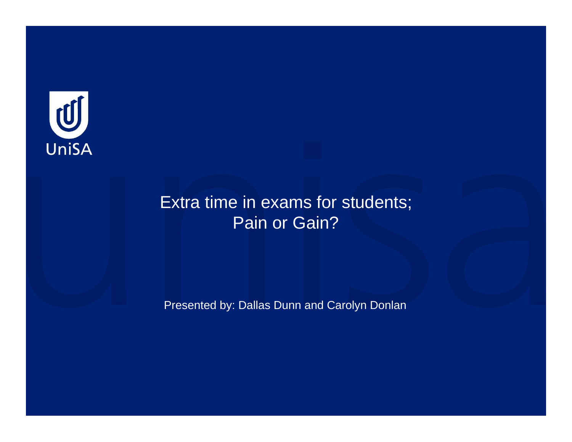

#### Extra time in exams for students; Pain or Gain?

Presented by: Dallas Dunn and Carolyn Donlan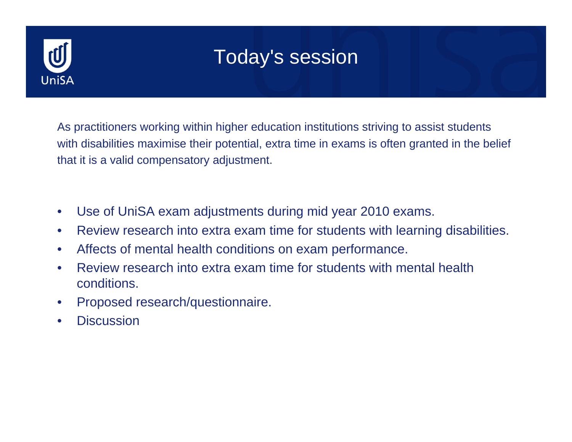

## Today's session

As practitioners working within higher education institutions striving to assist students with disabilities maximise their potential, extra time in exams is often granted in the belief that it is a valid compensatory adjustment.

- Use of UniSA exam adjustments during mid year 2010 exams.
- Review research into extra exam time for students with learning disabilities.
- Affects of mental health conditions on exam performance.
- Review research into extra exam time for students with mental health conditions.
- Proposed research/questionnaire.
- Discussion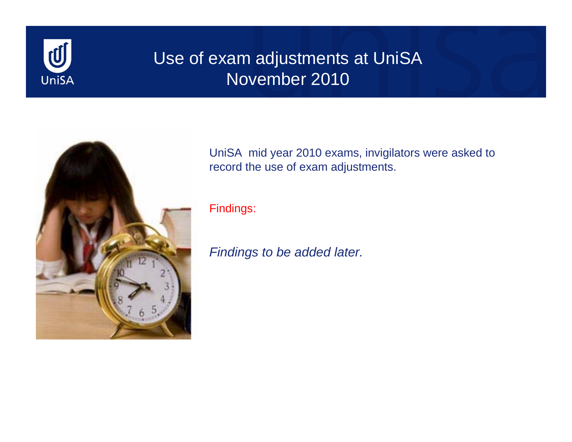

### Use of exam adjustments at UniSA November 2010



UniSA mid year 2010 exams, invigilators were asked to record the use of exam adjustments.

Findings:

*Findings to be added later.*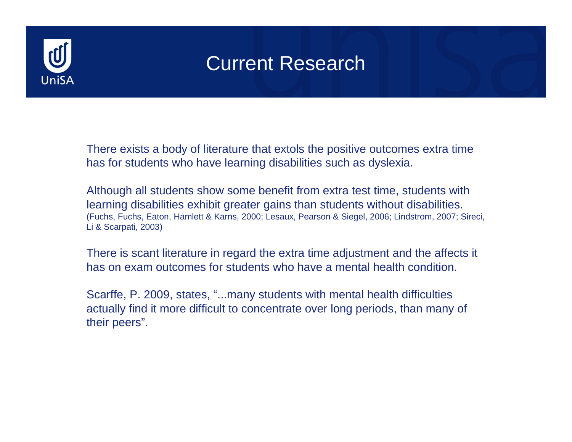

There exists a body of literature that extols the positive outcomes extra time has for students who have learning disabilities such as dyslexia.

Although all students show some benefit from extra test time, students with learning disabilities exhibit greater gains than students without disabilities. (Fuchs, Fuchs, Eaton, Hamlett & Karns, 2000; Lesaux, Pearson & Siegel, 2006; Lindstrom, 2007; Sireci, Li & Scarpati, 2003)

There is scant literature in regard the extra time adjustment and the affects it has on exam outcomes for students who have a mental health condition.

Scarffe, P. 2009, states, "...many students with mental health difficulties actually find it more difficult to concentrate over long periods, than many of their peers".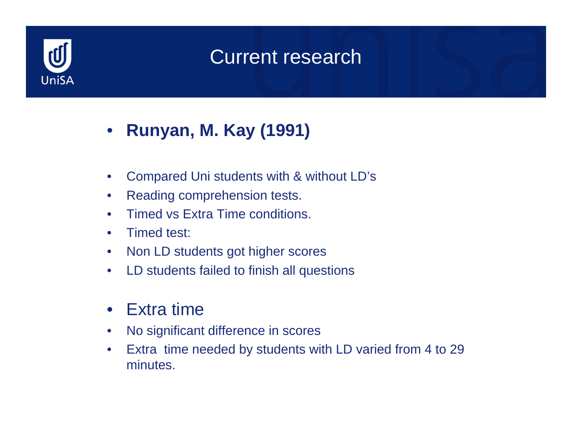

- **Runyan, M. Kay (1991)**
- Compared Uni students with & without LD's
- Reading comprehension tests.
- Timed vs Extra Time conditions.
- Timed test:
- Non LD students got higher scores
- LD students failed to finish all questions
- Extra time
- No significant difference in scores
- Extra time needed by students with LD varied from 4 to 29 minutes.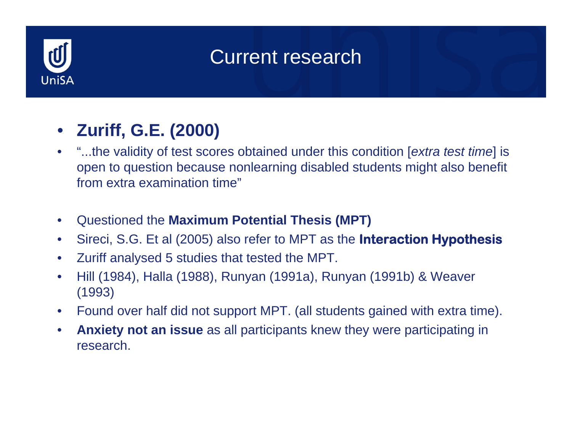

## • **Zuriff, G.E. (2000)**

- "...the validity of test scores obtained under this condition [*extra test time*] is open to question because nonlearning disabled students might also benefit from extra examination time"
- Questioned the **Maximum Potential Thesis (MPT)**
- Sireci, S.G. Et al (2005) also refer to MPT as the **Interaction Hypothesis**
- Zuriff analysed 5 studies that tested the MPT.
- Hill (1984), Halla (1988), Runyan (1991a), Runyan (1991b) & Weaver (1993)
- Found over half did not support MPT. (all students gained with extra time).
- **Anxiety not an issue** as all participants knew they were participating in research.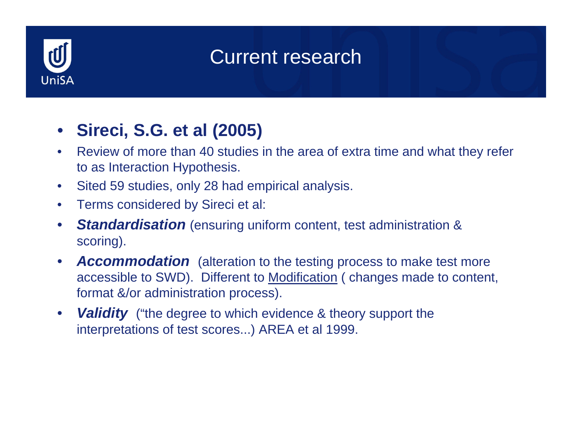

## • **Sireci, S.G. et al (2005)**

- Review of more than 40 studies in the area of extra time and what they refer to as Interaction Hypothesis.
- Sited 59 studies, only 28 had empirical analysis.
- Terms considered by Sireci et al:
- *Standardisation* (ensuring uniform content, test administration & scoring).
- *Accommodation* (alteration to the testing process to make test more accessible to SWD). Different to Modification ( changes made to content, format &/or administration process).
- *Validity* ("the degree to which evidence & theory support the interpretations of test scores...) AREA et al 1999.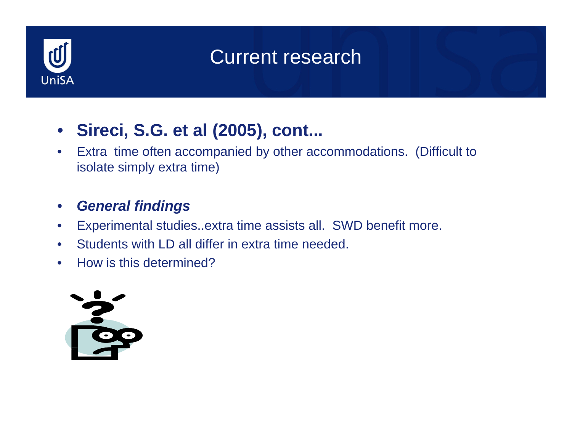

• **Sireci, S.G. et al (2005), cont...**

• Extra time often accompanied by other accommodations. (Difficult to isolate simply extra time)

#### • *General findings*

- Experimental studies..extra time assists all. SWD benefit more.
- Students with LD all differ in extra time needed.
- How is this determined?

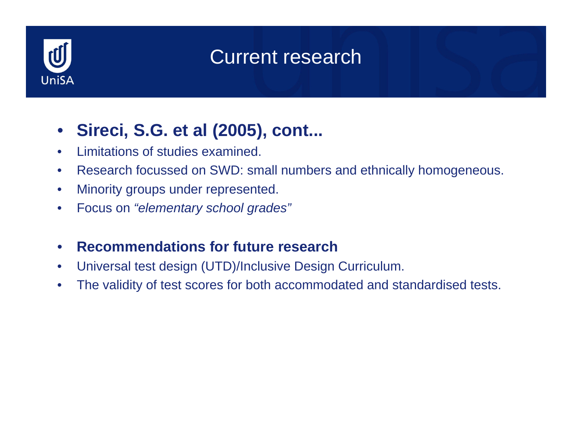

## • **Sireci, S.G. et al (2005), cont...**

- Limitations of studies examined.
- Research focussed on SWD: small numbers and ethnically homogeneous.
- Minority groups under represented.
- Focus on *"elementary school grades"*
- **Recommendations for future research**
- Universal test design (UTD)/Inclusive Design Curriculum.
- The validity of test scores for both accommodated and standardised tests.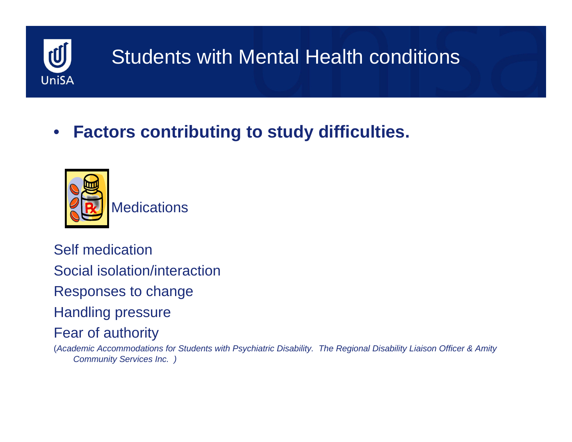

# Students with Mental Health conditions

## • **Factors contributing to study difficulties.**



Self medicationSocial isolation/interactionResponses to change Handling pressure Fear of authority

(*Academic Accommodations for Students with Psychiatric Disability. The Regional Disability Liaison Officer & Amity Community Services Inc. )*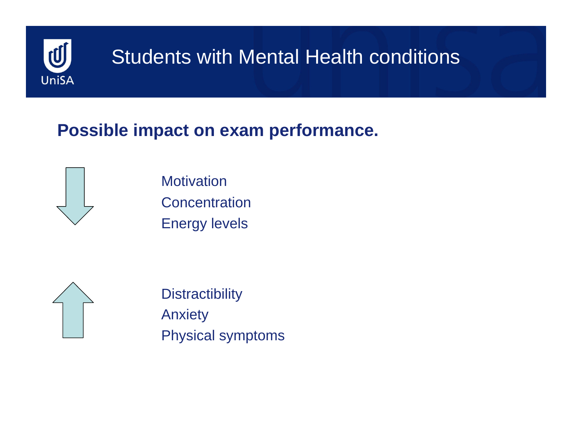

# **Students with Mental Health conditions**

### **Possible impact on exam performance.**



**Motivation** 

Concentration

Energy levels



**Distractibility** Anxiety Physical symptoms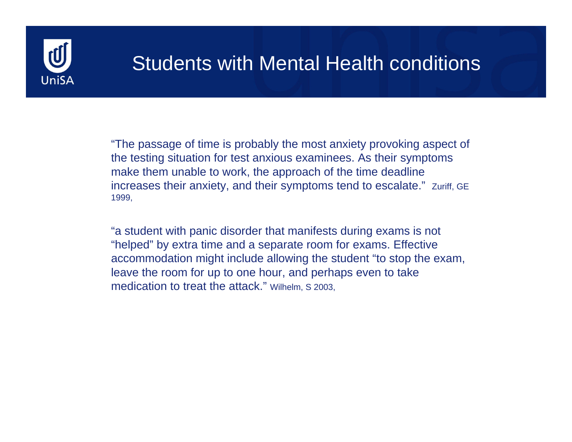

## Students with Mental Health conditions

"The passage of time is probably the most anxiety provoking aspect of the testing situation for test anxious examinees. As their symptoms make them unable to work, the approach of the time deadline increases their anxiety, and their symptoms tend to escalate." Zuriff, GE 1999,

"a student with panic disorder that manifests during exams is not "helped" by extra time and a separate room for exams. Effective accommodation might include allowing the student "to stop the exam, leave the room for up to one hour, and perhaps even to take medication to treat the attack." Wilhelm, S 2003,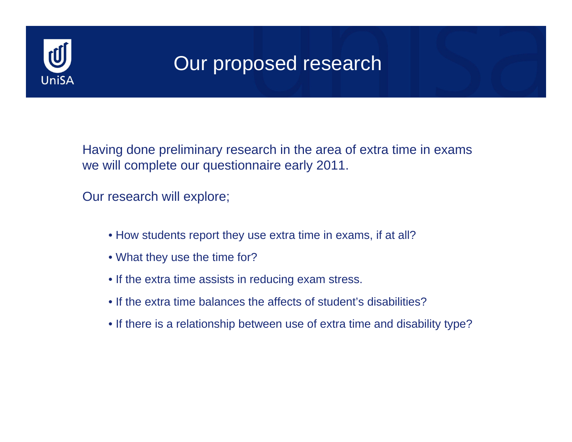

## Our proposed research

Having done preliminary research in the area of extra time in exams we will complete our questionnaire early 2011.

Our research will explore;

- How students report they use extra time in exams, if at all?
- What they use the time for?
- If the extra time assists in reducing exam stress.
- If the extra time balances the affects of student's disabilities?
- If there is a relationship between use of extra time and disability type?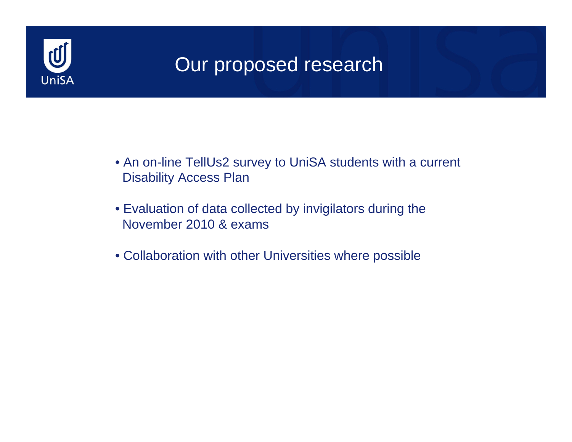

## Our proposed research

- An on-line TellUs2 survey to UniSA students with a current Disability Access Plan
- Evaluation of data collected by invigilators during the November 2010 & exams
- Collaboration with other Universities where possible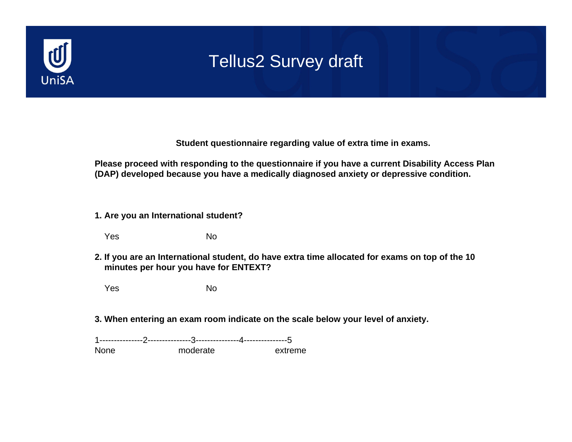

**Student questionnaire regarding value of extra time in exams.**

**Please proceed with responding to the questionnaire if you have a current Disability Access Plan (DAP) developed because you have a medically diagnosed anxiety or depressive condition.**

- **1. Are you an International student?**
	- Yes No
- **2. If you are an International student, do have extra time allocated for exams on top of the 10 minutes per hour you have for ENTEXT?**
	- Yes No
- **3. When entering an exam room indicate on the scale below your level of anxiety.**

1---------------2---------------3---------------4---------------5None moderate extreme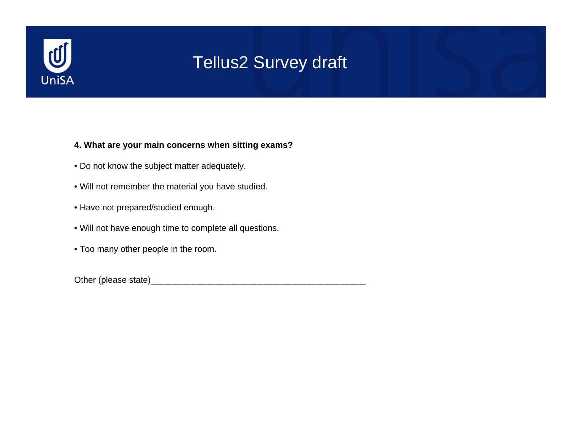

#### **4. What are your main concerns when sitting exams?**

- Do not know the subject matter adequately.
- Will not remember the material you have studied.
- Have not prepared/studied enough.
- Will not have enough time to complete all questions.
- Too many other people in the room.

Other (please state)\_\_\_\_\_\_\_\_\_\_\_\_\_\_\_\_\_\_\_\_\_\_\_\_\_\_\_\_\_\_\_\_\_\_\_\_\_\_\_\_\_\_\_\_\_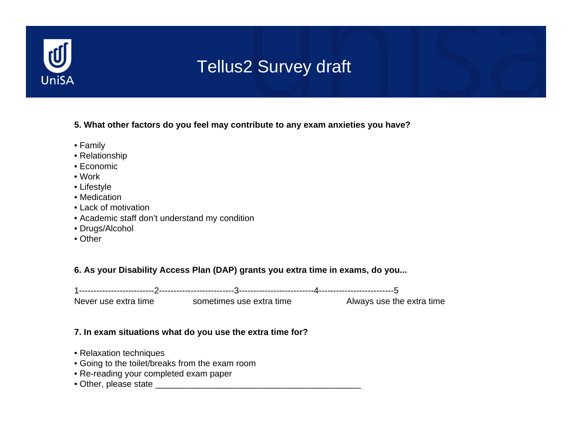

#### **5. What other factors do you feel may contribute to any exam anxieties you have?**

- Family
- Relationship
- Economic
- Work
- Lifestyle
- Medication
- Lack of motivation
- Academic staff don't understand my condition
- Drugs/Alcohol
- Other

#### **6. As your Disability Access Plan (DAP) grants you extra time in exams, do you...**

1--------------------------2--------------------------3--------------------------4--------------------------5

Never use extra time sometimes use extra time Always use the extra time

#### **7. In exam situations what do you use the extra time for?**

- Relaxation techniques
- Going to the toilet/breaks from the exam room
- Re-reading your completed exam paper
- Other, please state \_\_\_\_\_\_\_\_\_\_\_\_\_\_\_\_\_\_\_\_\_\_\_\_\_\_\_\_\_\_\_\_\_\_\_\_\_\_\_\_\_\_\_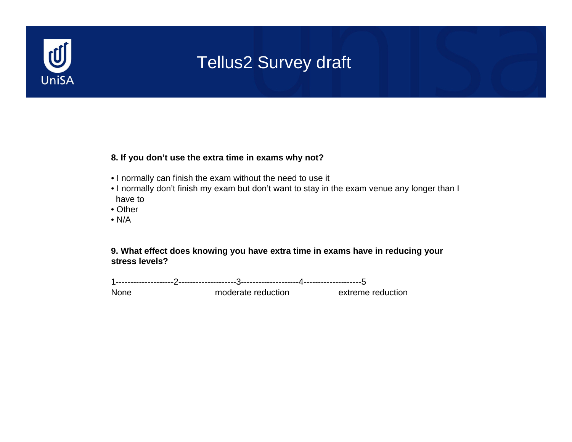

#### **8. If you don't use the extra time in exams why not?**

- I normally can finish the exam without the need to use it
- I normally don't finish my exam but don't want to stay in the exam venue any longer than I have to
- Other
- N/A

**9. What effect does knowing you have extra time in exams have in reducing your stress levels?**

1--------------------2--------------------3--------------------4--------------------5

None moderate reduction extreme reduction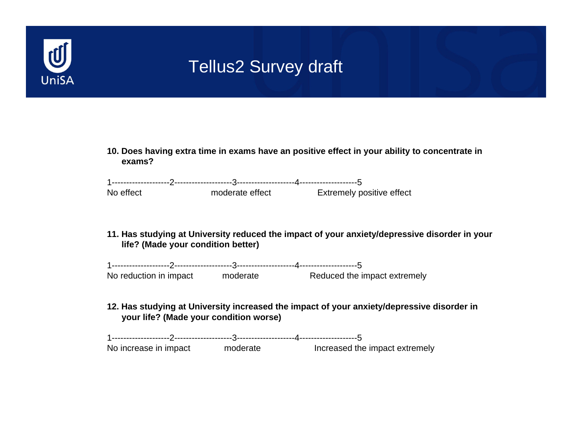

**10. Does having extra time in exams have an positive effect in your ability to concentrate in exams?**

| No effect | moderate effect | <b>Extremely positive effect</b> |
|-----------|-----------------|----------------------------------|

**11. Has studying at University reduced the impact of your anxiety/depressive disorder in your life? (Made your condition better)**

| No reduction in impact | moderate | Reduced the impact extremely |  |
|------------------------|----------|------------------------------|--|

**12. Has studying at University increased the impact of your anxiety/depressive disorder in your life? (Made your condition worse)**

1--------------------2--------------------3--------------------4--------------------5No increase in impact moderate Increased the impact extremely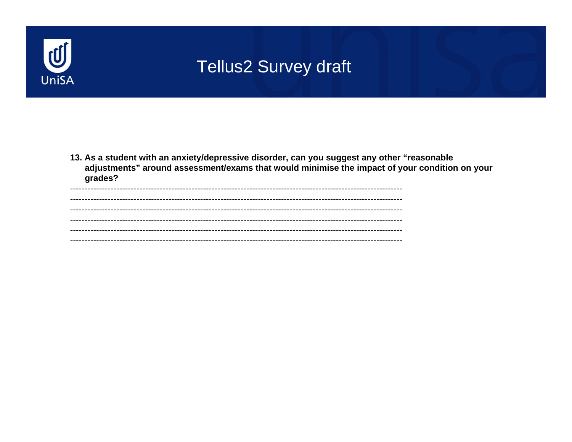

13. As a student with an anxiety/depressive disorder, can you suggest any other "reasonable adjustments" around assessment/exams that would minimise the impact of your condition on your grades?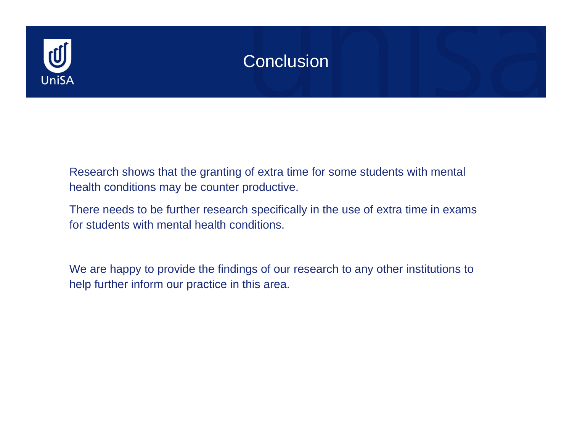

#### **Conclusion**

Research shows that the granting of extra time for some students with mental health conditions may be counter productive.

There needs to be further research specifically in the use of extra time in exams for students with mental health conditions.

We are happy to provide the findings of our research to any other institutions to help further inform our practice in this area.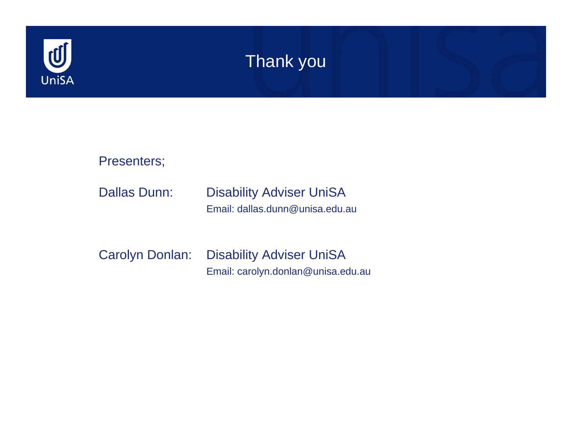

#### Thank you



Carolyn Donlan: Disability Adviser UniSA Email: carolyn.donlan@unisa.edu.au